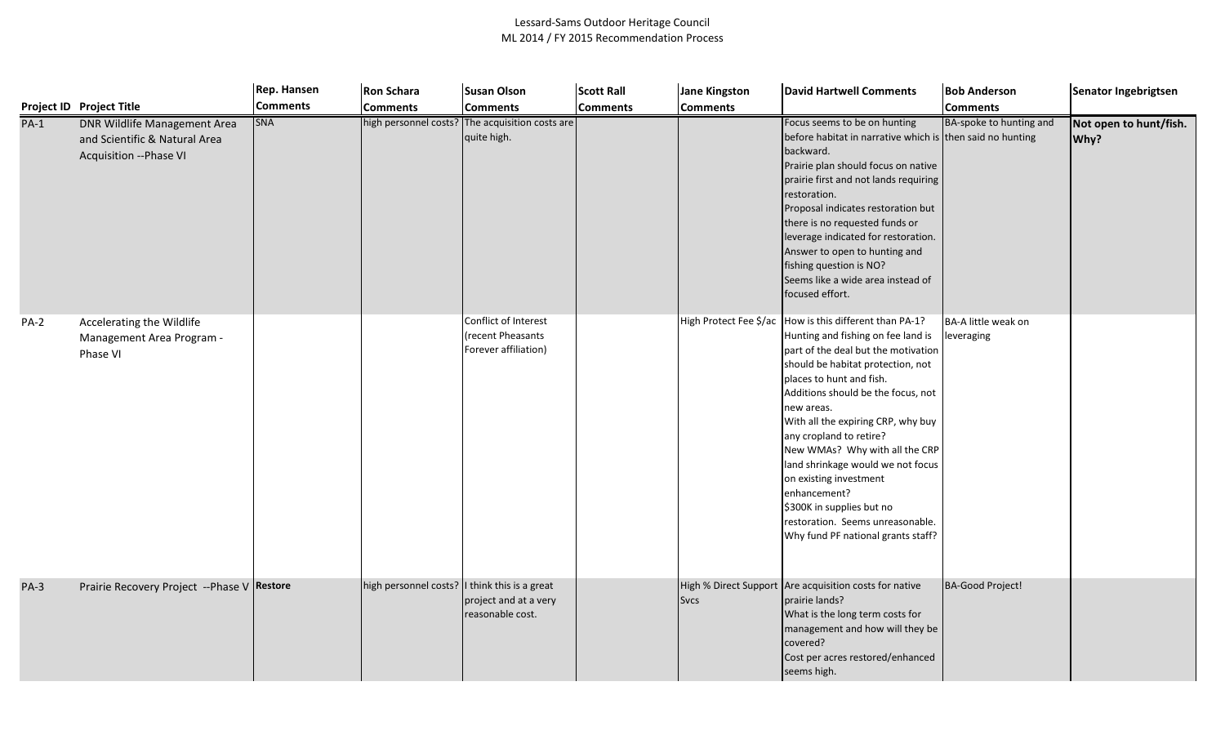|             |                                                                                          | Rep. Hansen     | <b>Ron Schara</b>     | <b>Susan Olson</b>                                                  | <b>Scott Rall</b> | <b>Jane Kingston</b>                 | <b>David Hartwell Comments</b>                                                                                                                                                                                                                                                                                                                                                                                                                                                                                              | <b>Bob Anderson</b>               | Senator Ingebrigtsen           |
|-------------|------------------------------------------------------------------------------------------|-----------------|-----------------------|---------------------------------------------------------------------|-------------------|--------------------------------------|-----------------------------------------------------------------------------------------------------------------------------------------------------------------------------------------------------------------------------------------------------------------------------------------------------------------------------------------------------------------------------------------------------------------------------------------------------------------------------------------------------------------------------|-----------------------------------|--------------------------------|
|             | <b>Project ID Project Title</b>                                                          | <b>Comments</b> | <b>Comments</b>       | <b>Comments</b>                                                     | <b>Comments</b>   | <b>Comments</b>                      |                                                                                                                                                                                                                                                                                                                                                                                                                                                                                                                             | <b>Comments</b>                   |                                |
| $PA-1$      | DNR Wildlife Management Area<br>and Scientific & Natural Area<br>Acquisition -- Phase VI | <b>SNA</b>      |                       | high personnel costs? The acquisition costs are<br>quite high.      |                   |                                      | Focus seems to be on hunting<br>before habitat in narrative which is then said no hunting<br>backward.<br>Prairie plan should focus on native<br>prairie first and not lands requiring<br>restoration.<br>Proposal indicates restoration but<br>there is no requested funds or<br>leverage indicated for restoration.<br>Answer to open to hunting and<br>fishing question is NO?<br>Seems like a wide area instead of<br>focused effort.                                                                                   | BA-spoke to hunting and           | Not open to hunt/fish.<br>Why? |
| <b>PA-2</b> | Accelerating the Wildlife<br>Management Area Program -<br>Phase VI                       |                 |                       | Conflict of Interest<br>recent Pheasants<br>Forever affiliation)    |                   | High Protect Fee \$/ac               | How is this different than PA-1?<br>Hunting and fishing on fee land is<br>part of the deal but the motivation<br>should be habitat protection, not<br>places to hunt and fish.<br>Additions should be the focus, not<br>new areas.<br>With all the expiring CRP, why buy<br>any cropland to retire?<br>New WMAs? Why with all the CRP<br>land shrinkage would we not focus<br>on existing investment<br>enhancement?<br>\$300K in supplies but no<br>restoration. Seems unreasonable.<br>Why fund PF national grants staff? | BA-A little weak on<br>leveraging |                                |
| $PA-3$      | Prairie Recovery Project --Phase V Restore                                               |                 | high personnel costs? | I think this is a great<br>project and at a very<br>easonable cost. |                   | High % Direct Support<br><b>Svcs</b> | Are acquisition costs for native<br>prairie lands?<br>What is the long term costs for<br>management and how will they be<br>covered?<br>Cost per acres restored/enhanced<br>seems high.                                                                                                                                                                                                                                                                                                                                     | BA-Good Project!                  |                                |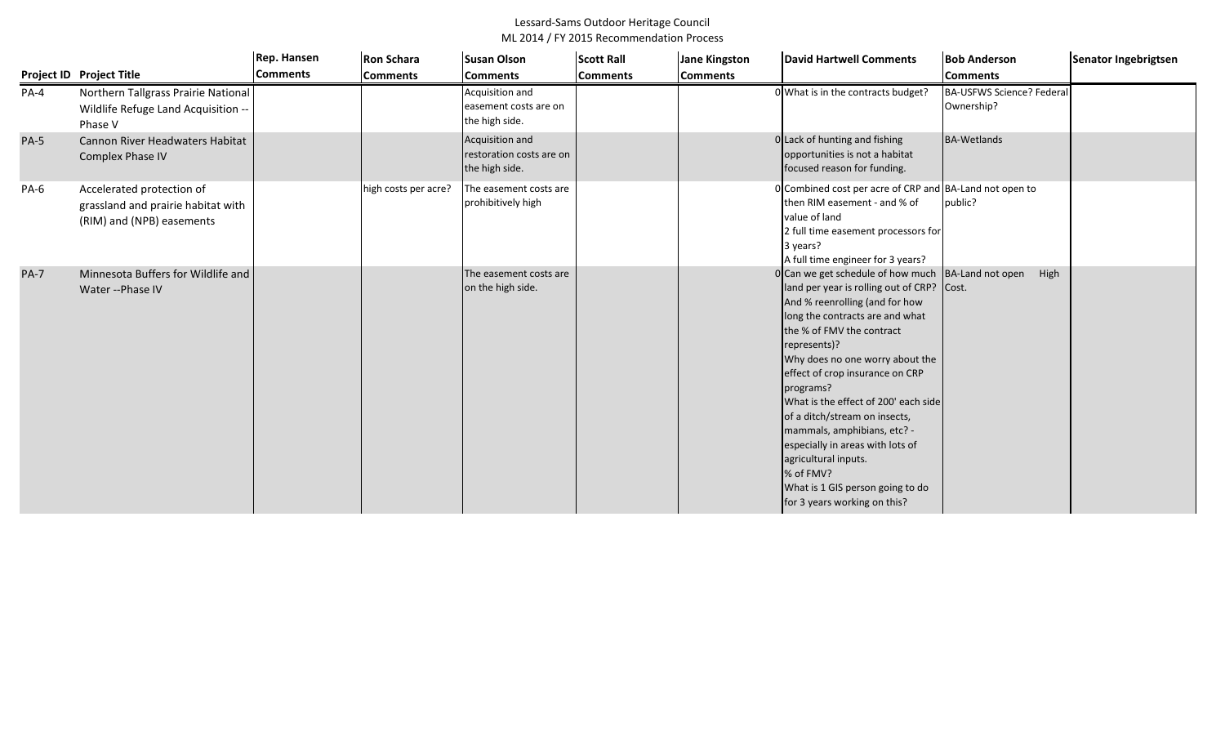|             |                                                                                              | Rep. Hansen     | <b>Ron Schara</b>    | <b>Susan Olson</b>                                            | <b>Scott Rall</b> | Jane Kingston   | <b>David Hartwell Comments</b>                                                                                                                                                                                                                                                                                                                                                                                                                                                                                                                             | <b>Bob Anderson</b>                            | Senator Ingebrigtsen |
|-------------|----------------------------------------------------------------------------------------------|-----------------|----------------------|---------------------------------------------------------------|-------------------|-----------------|------------------------------------------------------------------------------------------------------------------------------------------------------------------------------------------------------------------------------------------------------------------------------------------------------------------------------------------------------------------------------------------------------------------------------------------------------------------------------------------------------------------------------------------------------------|------------------------------------------------|----------------------|
|             | <b>Project ID Project Title</b>                                                              | <b>Comments</b> | <b>Comments</b>      | <b>Comments</b>                                               | <b>Comments</b>   | <b>Comments</b> |                                                                                                                                                                                                                                                                                                                                                                                                                                                                                                                                                            | <b>Comments</b>                                |                      |
| PA-4        | Northern Tallgrass Prairie National<br>Wildlife Refuge Land Acquisition --<br>Phase V        |                 |                      | Acquisition and<br>easement costs are on<br>the high side.    |                   |                 | 0 What is in the contracts budget?                                                                                                                                                                                                                                                                                                                                                                                                                                                                                                                         | <b>BA-USFWS Science? Federal</b><br>Ownership? |                      |
| <b>PA-5</b> | Cannon River Headwaters Habitat<br>Complex Phase IV                                          |                 |                      | Acquisition and<br>restoration costs are on<br>the high side. |                   |                 | 0 Lack of hunting and fishing<br>opportunities is not a habitat<br>focused reason for funding.                                                                                                                                                                                                                                                                                                                                                                                                                                                             | <b>BA-Wetlands</b>                             |                      |
| PA-6        | Accelerated protection of<br>grassland and prairie habitat with<br>(RIM) and (NPB) easements |                 | high costs per acre? | The easement costs are<br>prohibitively high                  |                   |                 | 0 Combined cost per acre of CRP and BA-Land not open to<br>then RIM easement - and % of<br>value of land<br>2 full time easement processors for<br>3 years?<br>A full time engineer for 3 years?                                                                                                                                                                                                                                                                                                                                                           | public?                                        |                      |
| <b>PA-7</b> | Minnesota Buffers for Wildlife and<br>Water -- Phase IV                                      |                 |                      | The easement costs are<br>on the high side.                   |                   |                 | 0 Can we get schedule of how much BA-Land not open<br>land per year is rolling out of CRP? Cost.<br>And % reenrolling (and for how<br>long the contracts are and what<br>the % of FMV the contract<br>represents)?<br>Why does no one worry about the<br>effect of crop insurance on CRP<br>programs?<br>What is the effect of 200' each side<br>of a ditch/stream on insects,<br>mammals, amphibians, etc? -<br>especially in areas with lots of<br>agricultural inputs.<br>% of FMV?<br>What is 1 GIS person going to do<br>for 3 years working on this? | High                                           |                      |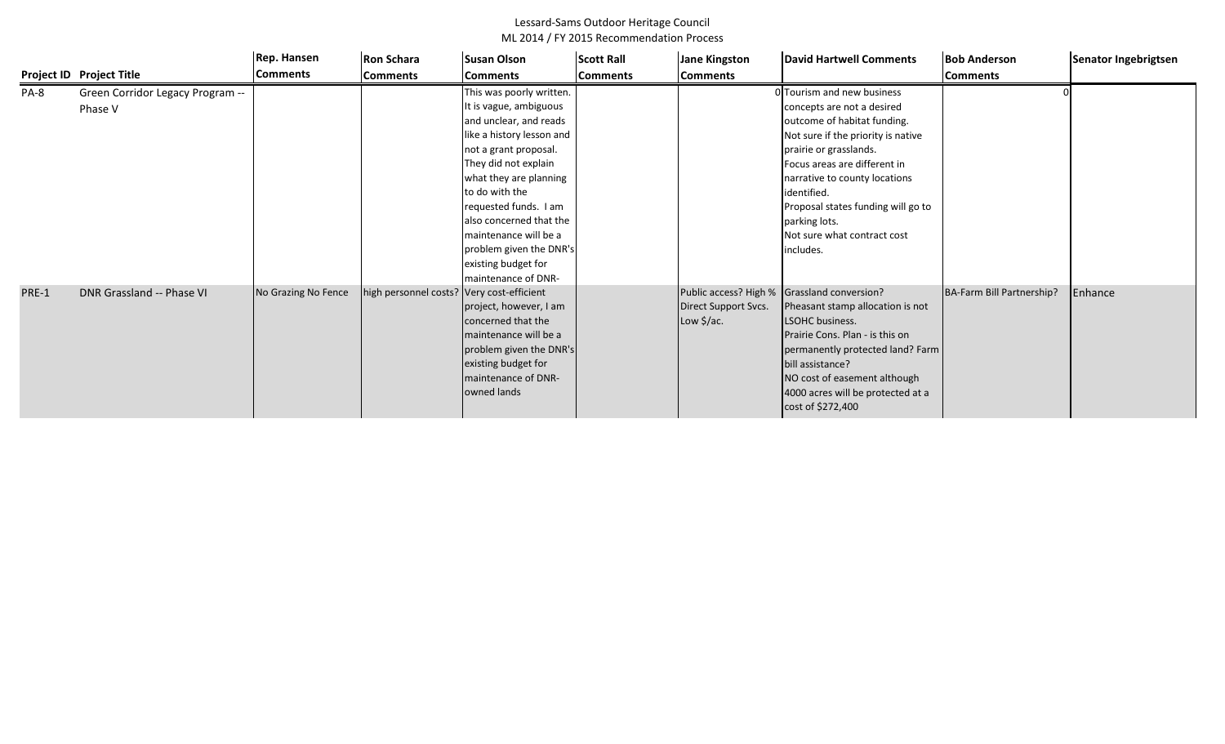|       |                                             | Rep. Hansen         | <b>Ron Schara</b>                         | <b>Susan Olson</b>                                                                                                                                                                                                                                                                                             | <b>Scott Rall</b> | <b>Jane Kingston</b>               | David Hartwell Comments                                                                                                                                                                                                                                                                                                                    | <b>Bob Anderson</b>       | Senator Ingebrigtsen |
|-------|---------------------------------------------|---------------------|-------------------------------------------|----------------------------------------------------------------------------------------------------------------------------------------------------------------------------------------------------------------------------------------------------------------------------------------------------------------|-------------------|------------------------------------|--------------------------------------------------------------------------------------------------------------------------------------------------------------------------------------------------------------------------------------------------------------------------------------------------------------------------------------------|---------------------------|----------------------|
|       | Project ID Project Title                    | <b>Comments</b>     | <b>Comments</b>                           | <b>Comments</b>                                                                                                                                                                                                                                                                                                | <b>Comments</b>   | <b>Comments</b>                    |                                                                                                                                                                                                                                                                                                                                            | <b>Comments</b>           |                      |
| PA-8  | Green Corridor Legacy Program --<br>Phase V |                     |                                           | This was poorly written.<br>It is vague, ambiguous<br>and unclear, and reads<br>like a history lesson and<br>not a grant proposal.<br>They did not explain<br>what they are planning<br>to do with the<br>requested funds. I am<br>also concerned that the<br>maintenance will be a<br>problem given the DNR's |                   |                                    | O Tourism and new business<br>concepts are not a desired<br>outcome of habitat funding.<br>Not sure if the priority is native<br>prairie or grasslands.<br>Focus areas are different in<br>narrative to county locations<br>identified.<br>Proposal states funding will go to<br>parking lots.<br>Not sure what contract cost<br>includes. |                           |                      |
| PRE-1 | DNR Grassland -- Phase VI                   | No Grazing No Fence | high personnel costs? Very cost-efficient | existing budget for<br>maintenance of DNR-<br>project, however, I am<br>concerned that the<br>maintenance will be a<br>problem given the DNR's<br>existing budget for<br>maintenance of DNR-<br>owned lands                                                                                                    |                   | Direct Support Svcs.<br>Low \$/ac. | Public access? High % Grassland conversion?<br>Pheasant stamp allocation is not<br><b>LSOHC</b> business.<br>Prairie Cons. Plan - is this on<br>permanently protected land? Farm<br>bill assistance?<br>NO cost of easement although<br>4000 acres will be protected at a<br>cost of \$272,400                                             | BA-Farm Bill Partnership? | Enhance              |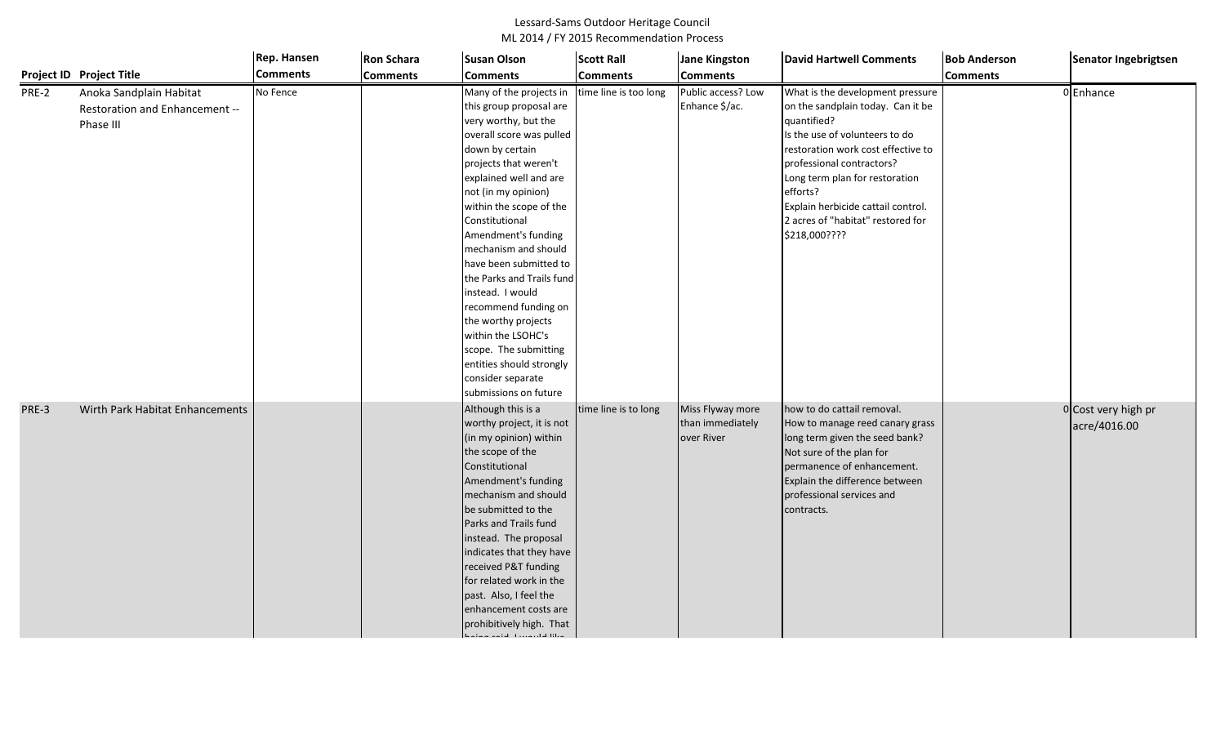|       |                                                                        | Rep. Hansen     | <b>Ron Schara</b> | <b>Susan Olson</b>                                                                                                                                                                                                                                                                                                                                                                                                                                                                                                                                    | <b>Scott Rall</b>     | <b>Jane Kingston</b>                               | <b>David Hartwell Comments</b>                                                                                                                                                                                                                                                                                                      | <b>Bob Anderson</b> | Senator Ingebrigtsen                |
|-------|------------------------------------------------------------------------|-----------------|-------------------|-------------------------------------------------------------------------------------------------------------------------------------------------------------------------------------------------------------------------------------------------------------------------------------------------------------------------------------------------------------------------------------------------------------------------------------------------------------------------------------------------------------------------------------------------------|-----------------------|----------------------------------------------------|-------------------------------------------------------------------------------------------------------------------------------------------------------------------------------------------------------------------------------------------------------------------------------------------------------------------------------------|---------------------|-------------------------------------|
|       | Project ID Project Title                                               | <b>Comments</b> | <b>Comments</b>   | <b>Comments</b>                                                                                                                                                                                                                                                                                                                                                                                                                                                                                                                                       | <b>Comments</b>       | <b>Comments</b>                                    |                                                                                                                                                                                                                                                                                                                                     | <b>Comments</b>     |                                     |
| PRE-2 | Anoka Sandplain Habitat<br>Restoration and Enhancement --<br>Phase III | No Fence        |                   | Many of the projects in<br>this group proposal are<br>very worthy, but the<br>overall score was pulled<br>down by certain<br>projects that weren't<br>explained well and are<br>not (in my opinion)<br>within the scope of the<br>Constitutional<br>Amendment's funding<br>mechanism and should<br>have been submitted to<br>the Parks and Trails fund<br>instead. I would<br>recommend funding on                                                                                                                                                    | time line is too long | Public access? Low<br>Enhance \$/ac.               | What is the development pressure<br>on the sandplain today. Can it be<br>quantified?<br>Is the use of volunteers to do<br>restoration work cost effective to<br>professional contractors?<br>Long term plan for restoration<br>efforts?<br>Explain herbicide cattail control.<br>2 acres of "habitat" restored for<br>\$218,000???? |                     | 0 Enhance                           |
| PRE-3 | Wirth Park Habitat Enhancements                                        |                 |                   | the worthy projects<br>within the LSOHC's<br>scope. The submitting<br>entities should strongly<br>consider separate<br>submissions on future<br>Although this is a<br>worthy project, it is not<br>(in my opinion) within<br>the scope of the<br>Constitutional<br>Amendment's funding<br>mechanism and should<br>be submitted to the<br>Parks and Trails fund<br>instead. The proposal<br>indicates that they have<br>received P&T funding<br>for related work in the<br>past. Also, I feel the<br>enhancement costs are<br>prohibitively high. That | time line is to long  | Miss Flyway more<br>than immediately<br>over River | how to do cattail removal.<br>How to manage reed canary grass<br>long term given the seed bank?<br>Not sure of the plan for<br>permanence of enhancement.<br>Explain the difference between<br>professional services and<br>contracts.                                                                                              |                     | 0 Cost very high pr<br>acre/4016.00 |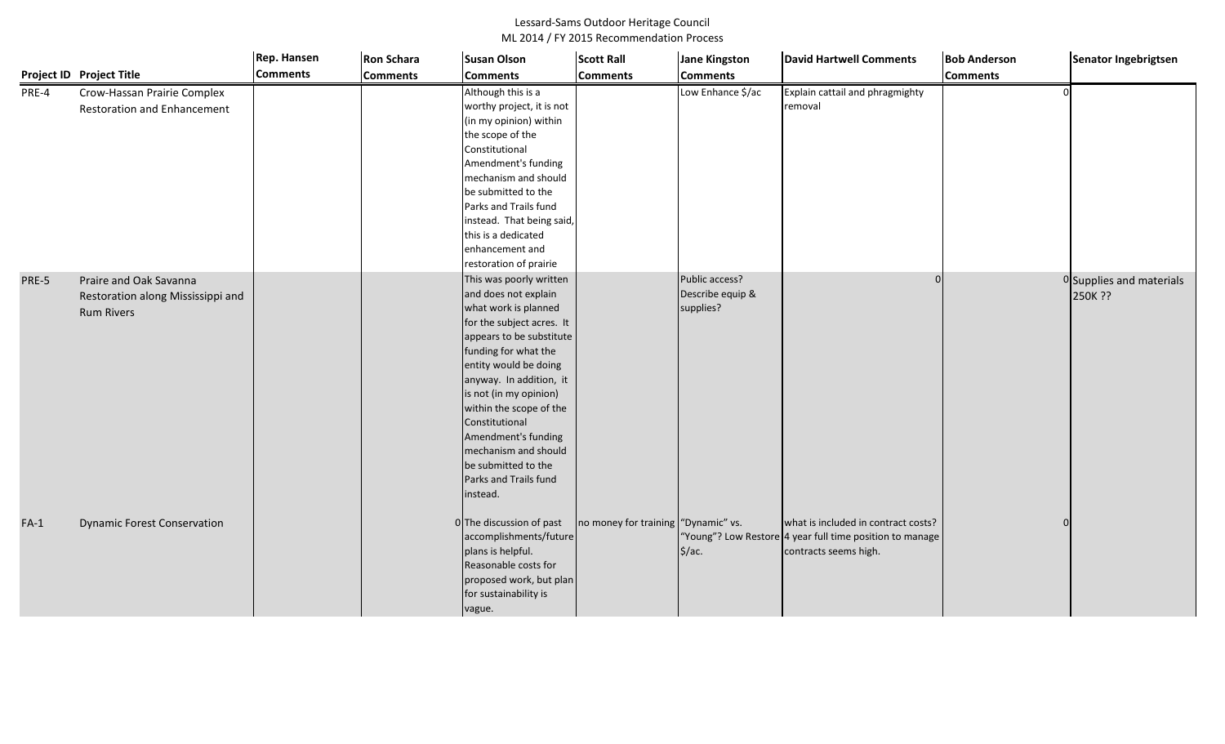|        |                                    | <b>Rep. Hansen</b> | <b>Ron Schara</b> | <b>Susan Olson</b>        | <b>Scott Rall</b>                   | <b>Jane Kingston</b> | <b>David Hartwell Comments</b>                           | <b>Bob Anderson</b> | Senator Ingebrigtsen     |
|--------|------------------------------------|--------------------|-------------------|---------------------------|-------------------------------------|----------------------|----------------------------------------------------------|---------------------|--------------------------|
|        | Project ID Project Title           | <b>Comments</b>    | <b>Comments</b>   | <b>Comments</b>           | <b>Comments</b>                     | <b>Comments</b>      |                                                          | <b>Comments</b>     |                          |
| PRE-4  | Crow-Hassan Prairie Complex        |                    |                   | Although this is a        |                                     | Low Enhance \$/ac    | Explain cattail and phragmighty                          |                     |                          |
|        | <b>Restoration and Enhancement</b> |                    |                   | worthy project, it is not |                                     |                      | removal                                                  |                     |                          |
|        |                                    |                    |                   | (in my opinion) within    |                                     |                      |                                                          |                     |                          |
|        |                                    |                    |                   | the scope of the          |                                     |                      |                                                          |                     |                          |
|        |                                    |                    |                   | Constitutional            |                                     |                      |                                                          |                     |                          |
|        |                                    |                    |                   | Amendment's funding       |                                     |                      |                                                          |                     |                          |
|        |                                    |                    |                   | mechanism and should      |                                     |                      |                                                          |                     |                          |
|        |                                    |                    |                   | be submitted to the       |                                     |                      |                                                          |                     |                          |
|        |                                    |                    |                   | Parks and Trails fund     |                                     |                      |                                                          |                     |                          |
|        |                                    |                    |                   | instead. That being said, |                                     |                      |                                                          |                     |                          |
|        |                                    |                    |                   | this is a dedicated       |                                     |                      |                                                          |                     |                          |
|        |                                    |                    |                   | enhancement and           |                                     |                      |                                                          |                     |                          |
|        |                                    |                    |                   | restoration of prairie    |                                     |                      |                                                          |                     |                          |
| PRE-5  | Praire and Oak Savanna             |                    |                   | This was poorly written   |                                     | Public access?       |                                                          |                     | 0 Supplies and materials |
|        | Restoration along Mississippi and  |                    |                   | and does not explain      |                                     | Describe equip &     |                                                          |                     | 250K ??                  |
|        | <b>Rum Rivers</b>                  |                    |                   | what work is planned      |                                     | supplies?            |                                                          |                     |                          |
|        |                                    |                    |                   | for the subject acres. It |                                     |                      |                                                          |                     |                          |
|        |                                    |                    |                   | appears to be substitute  |                                     |                      |                                                          |                     |                          |
|        |                                    |                    |                   | funding for what the      |                                     |                      |                                                          |                     |                          |
|        |                                    |                    |                   | entity would be doing     |                                     |                      |                                                          |                     |                          |
|        |                                    |                    |                   | anyway. In addition, it   |                                     |                      |                                                          |                     |                          |
|        |                                    |                    |                   | is not (in my opinion)    |                                     |                      |                                                          |                     |                          |
|        |                                    |                    |                   | within the scope of the   |                                     |                      |                                                          |                     |                          |
|        |                                    |                    |                   | Constitutional            |                                     |                      |                                                          |                     |                          |
|        |                                    |                    |                   | Amendment's funding       |                                     |                      |                                                          |                     |                          |
|        |                                    |                    |                   | mechanism and should      |                                     |                      |                                                          |                     |                          |
|        |                                    |                    |                   | be submitted to the       |                                     |                      |                                                          |                     |                          |
|        |                                    |                    |                   | Parks and Trails fund     |                                     |                      |                                                          |                     |                          |
|        |                                    |                    |                   | instead.                  |                                     |                      |                                                          |                     |                          |
| $FA-1$ | <b>Dynamic Forest Conservation</b> |                    |                   | 0 The discussion of past  | no money for training "Dynamic" vs. |                      | what is included in contract costs?                      |                     |                          |
|        |                                    |                    |                   | accomplishments/future    |                                     |                      | "Young"? Low Restore 4 year full time position to manage |                     |                          |
|        |                                    |                    |                   | plans is helpful.         |                                     | \$/ac.               | contracts seems high.                                    |                     |                          |
|        |                                    |                    |                   | Reasonable costs for      |                                     |                      |                                                          |                     |                          |
|        |                                    |                    |                   | proposed work, but plan   |                                     |                      |                                                          |                     |                          |
|        |                                    |                    |                   | for sustainability is     |                                     |                      |                                                          |                     |                          |
|        |                                    |                    |                   |                           |                                     |                      |                                                          |                     |                          |
|        |                                    |                    |                   | vague.                    |                                     |                      |                                                          |                     |                          |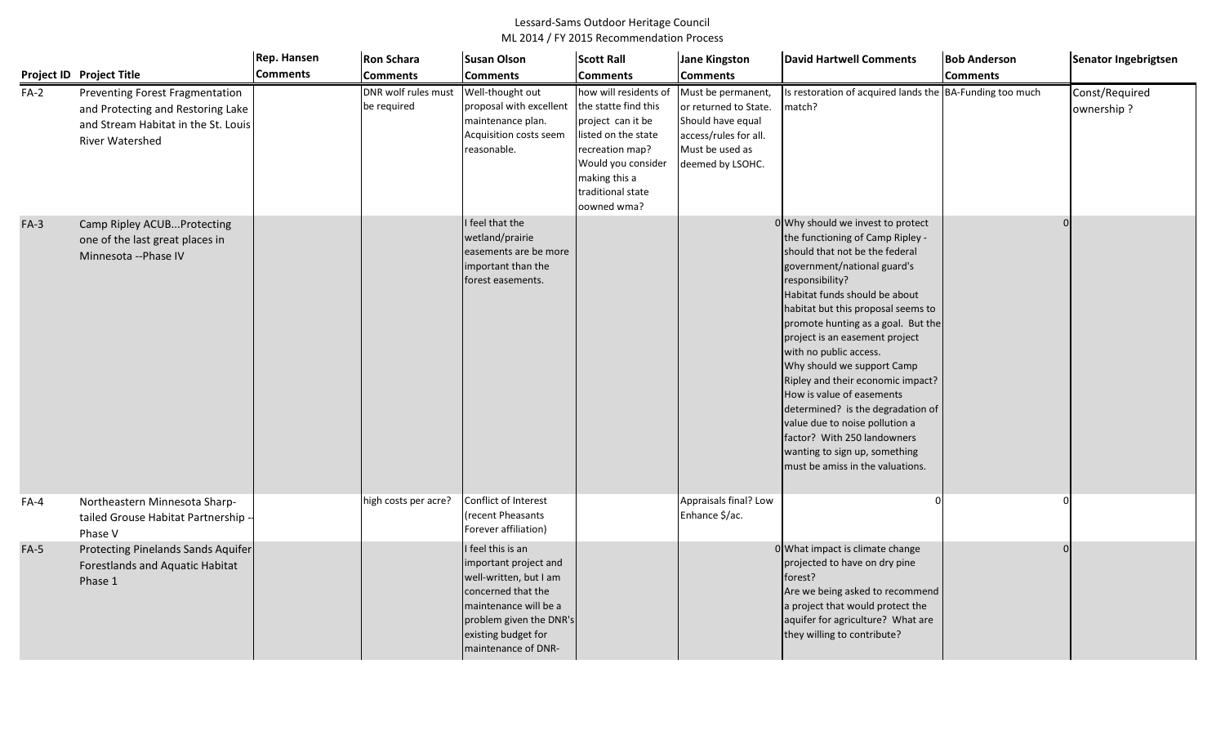|        |                                                                                                                                       | Rep. Hansen     | <b>Ron Schara</b>                  | <b>Susan Olson</b>                                                                                                                                                                           | <b>Scott Rall</b>                                                                                                                                                                       | <b>Jane Kingston</b>                                                                                                             | <b>David Hartwell Comments</b>                                                                                                                                                                                                                                                                                                                                                                                                                                                                                                                                                                                | <b>Bob Anderson</b> | Senator Ingebrigtsen         |
|--------|---------------------------------------------------------------------------------------------------------------------------------------|-----------------|------------------------------------|----------------------------------------------------------------------------------------------------------------------------------------------------------------------------------------------|-----------------------------------------------------------------------------------------------------------------------------------------------------------------------------------------|----------------------------------------------------------------------------------------------------------------------------------|---------------------------------------------------------------------------------------------------------------------------------------------------------------------------------------------------------------------------------------------------------------------------------------------------------------------------------------------------------------------------------------------------------------------------------------------------------------------------------------------------------------------------------------------------------------------------------------------------------------|---------------------|------------------------------|
|        | Project ID Project Title                                                                                                              | <b>Comments</b> | <b>Comments</b>                    | <b>Comments</b>                                                                                                                                                                              | <b>Comments</b>                                                                                                                                                                         | <b>Comments</b>                                                                                                                  |                                                                                                                                                                                                                                                                                                                                                                                                                                                                                                                                                                                                               | <b>Comments</b>     |                              |
| $FA-2$ | Preventing Forest Fragmentation<br>and Protecting and Restoring Lake<br>and Stream Habitat in the St. Louis<br><b>River Watershed</b> |                 | DNR wolf rules must<br>be required | Well-thought out<br>proposal with excellent<br>maintenance plan.<br>Acquisition costs seem<br>reasonable.                                                                                    | how will residents of<br>the statte find this<br>project can it be<br>listed on the state<br>recreation map?<br>Would you consider<br>making this a<br>traditional state<br>oowned wma? | Must be permanent,<br>or returned to State.<br>Should have equal<br>access/rules for all.<br>Must be used as<br>deemed by LSOHC. | Is restoration of acquired lands the BA-Funding too much<br>match?                                                                                                                                                                                                                                                                                                                                                                                                                                                                                                                                            |                     | Const/Required<br>ownership? |
| $FA-3$ | Camp Ripley ACUBProtecting<br>one of the last great places in<br>Minnesota -- Phase IV                                                |                 |                                    | I feel that the<br>wetland/prairie<br>easements are be more<br>important than the<br>forest easements.                                                                                       |                                                                                                                                                                                         |                                                                                                                                  | 0 Why should we invest to protect<br>the functioning of Camp Ripley -<br>should that not be the federal<br>government/national guard's<br>responsibility?<br>Habitat funds should be about<br>habitat but this proposal seems to<br>promote hunting as a goal. But the<br>project is an easement project<br>with no public access.<br>Why should we support Camp<br>Ripley and their economic impact?<br>How is value of easements<br>determined? is the degradation of<br>value due to noise pollution a<br>factor? With 250 landowners<br>wanting to sign up, something<br>must be amiss in the valuations. |                     |                              |
| $FA-4$ | Northeastern Minnesota Sharp-<br>tailed Grouse Habitat Partnership -<br>Phase V                                                       |                 | high costs per acre?               | Conflict of Interest<br>(recent Pheasants<br>Forever affiliation)                                                                                                                            |                                                                                                                                                                                         | Appraisals final? Low<br>Enhance \$/ac.                                                                                          |                                                                                                                                                                                                                                                                                                                                                                                                                                                                                                                                                                                                               |                     |                              |
| $FA-5$ | Protecting Pinelands Sands Aquifer<br><b>Forestlands and Aquatic Habitat</b><br>Phase 1                                               |                 |                                    | I feel this is an<br>important project and<br>well-written, but I am<br>concerned that the<br>maintenance will be a<br>problem given the DNR's<br>existing budget for<br>maintenance of DNR- |                                                                                                                                                                                         |                                                                                                                                  | 0 What impact is climate change<br>projected to have on dry pine<br>forest?<br>Are we being asked to recommend<br>a project that would protect the<br>aquifer for agriculture? What are<br>they willing to contribute?                                                                                                                                                                                                                                                                                                                                                                                        |                     |                              |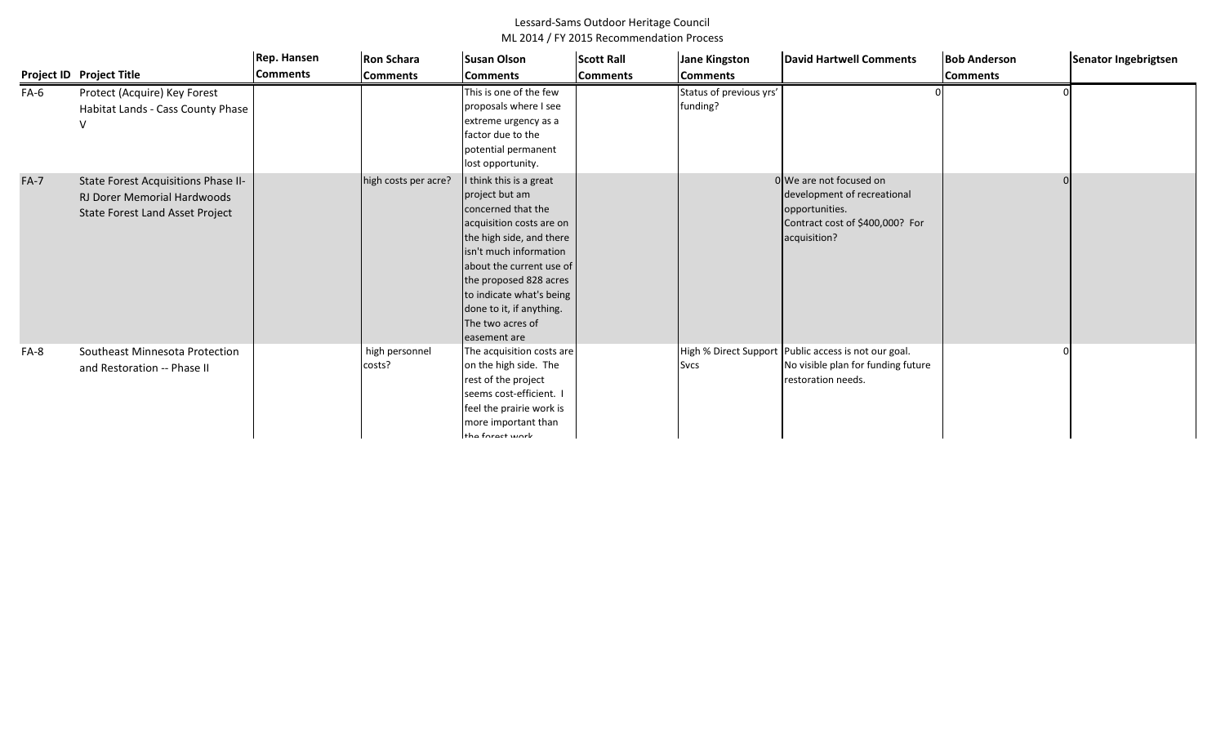|        |                                                                                                              | Rep. Hansen     | <b>Ron Schara</b>        | <b>Susan Olson</b>                                                                                                                                                                                                                                                                                | <b>Scott Rall</b> | <b>Jane Kingston</b>                | <b>David Hartwell Comments</b>                                                                                              | <b>Bob Anderson</b> | Senator Ingebrigtsen |
|--------|--------------------------------------------------------------------------------------------------------------|-----------------|--------------------------|---------------------------------------------------------------------------------------------------------------------------------------------------------------------------------------------------------------------------------------------------------------------------------------------------|-------------------|-------------------------------------|-----------------------------------------------------------------------------------------------------------------------------|---------------------|----------------------|
|        | <b>Project ID Project Title</b>                                                                              | <b>Comments</b> | <b>Comments</b>          | <b>Comments</b>                                                                                                                                                                                                                                                                                   | <b>Comments</b>   | <b>Comments</b>                     |                                                                                                                             | <b>Comments</b>     |                      |
| FA-6   | Protect (Acquire) Key Forest<br>Habitat Lands - Cass County Phase                                            |                 |                          | This is one of the few<br>proposals where I see<br>extreme urgency as a<br>factor due to the<br>potential permanent<br>lost opportunity.                                                                                                                                                          |                   | Status of previous yrs'<br>funding? |                                                                                                                             |                     |                      |
| $FA-7$ | State Forest Acquisitions Phase II-<br><b>RJ Dorer Memorial Hardwoods</b><br>State Forest Land Asset Project |                 | high costs per acre?     | think this is a great<br>project but am<br>concerned that the<br>acquisition costs are on<br>the high side, and there<br>isn't much information<br>about the current use of<br>the proposed 828 acres<br>to indicate what's being<br>done to it, if anything.<br>The two acres of<br>easement are |                   |                                     | 0 We are not focused on<br>development of recreational<br>opportunities.<br>Contract cost of \$400,000? For<br>acquisition? |                     |                      |
| FA-8   | Southeast Minnesota Protection<br>and Restoration -- Phase II                                                |                 | high personnel<br>costs? | The acquisition costs are<br>on the high side. The<br>rest of the project<br>seems cost-efficient. I<br>feel the prairie work is<br>more important than<br>the forest work                                                                                                                        |                   | <b>Svcs</b>                         | High % Direct Support Public access is not our goal.<br>No visible plan for funding future<br>restoration needs.            |                     |                      |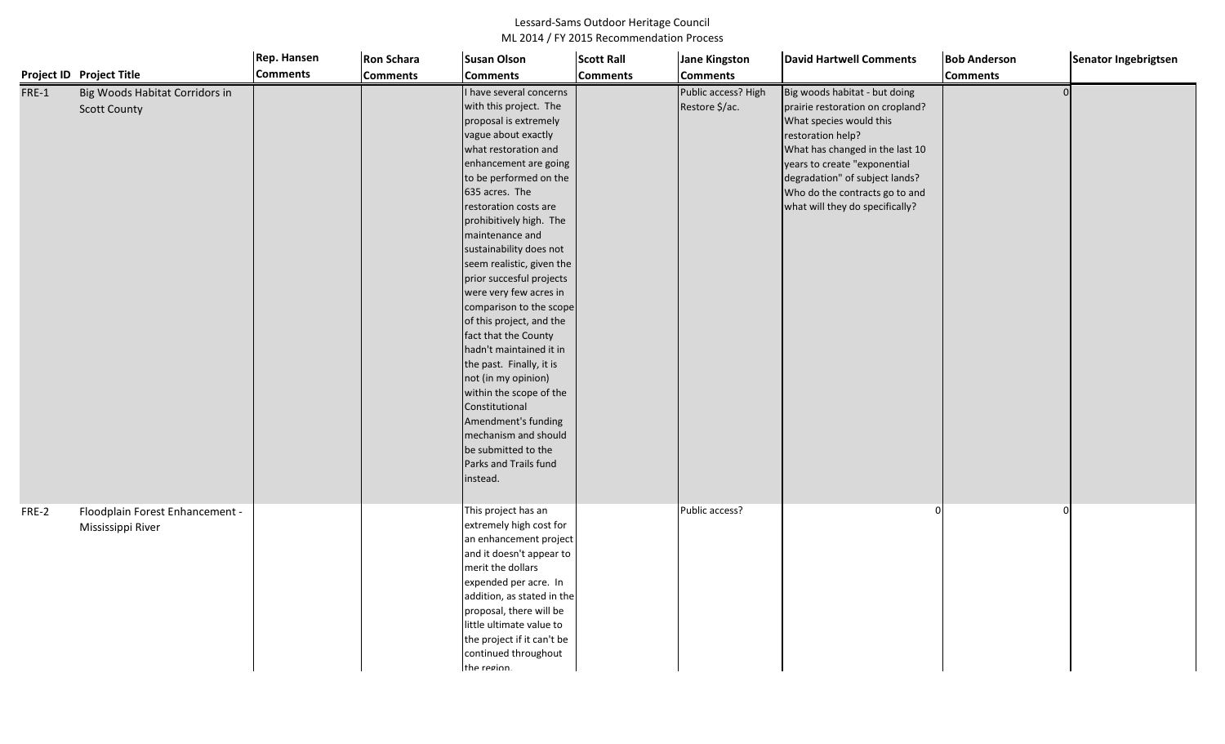|       |                                                       | Rep. Hansen     | <b>Ron Schara</b> | <b>Susan Olson</b>                                                                                                                                                                                                                                                                                                                                                                                                                                                                                                                                                                                                                                                                                       | <b>Scott Rall</b> | <b>Jane Kingston</b>                  | <b>David Hartwell Comments</b>                                                                                                                                                                                                                                                              | <b>Bob Anderson</b> | Senator Ingebrigtsen |
|-------|-------------------------------------------------------|-----------------|-------------------|----------------------------------------------------------------------------------------------------------------------------------------------------------------------------------------------------------------------------------------------------------------------------------------------------------------------------------------------------------------------------------------------------------------------------------------------------------------------------------------------------------------------------------------------------------------------------------------------------------------------------------------------------------------------------------------------------------|-------------------|---------------------------------------|---------------------------------------------------------------------------------------------------------------------------------------------------------------------------------------------------------------------------------------------------------------------------------------------|---------------------|----------------------|
|       | <b>Project ID Project Title</b>                       | <b>Comments</b> | <b>Comments</b>   | <b>Comments</b>                                                                                                                                                                                                                                                                                                                                                                                                                                                                                                                                                                                                                                                                                          | <b>Comments</b>   | <b>Comments</b>                       |                                                                                                                                                                                                                                                                                             | <b>Comments</b>     |                      |
| FRE-1 | Big Woods Habitat Corridors in<br><b>Scott County</b> |                 |                   | I have several concerns<br>with this project. The<br>proposal is extremely<br>vague about exactly<br>what restoration and<br>enhancement are going<br>to be performed on the<br>635 acres. The<br>restoration costs are<br>prohibitively high. The<br>maintenance and<br>sustainability does not<br>seem realistic, given the<br>prior succesful projects<br>were very few acres in<br>comparison to the scope<br>of this project, and the<br>fact that the County<br>hadn't maintained it in<br>the past. Finally, it is<br>not (in my opinion)<br>within the scope of the<br>Constitutional<br>Amendment's funding<br>mechanism and should<br>be submitted to the<br>Parks and Trails fund<br>instead. |                   | Public access? High<br>Restore \$/ac. | Big woods habitat - but doing<br>prairie restoration on cropland?<br>What species would this<br>restoration help?<br>What has changed in the last 10<br>years to create "exponential<br>degradation" of subject lands?<br>Who do the contracts go to and<br>what will they do specifically? | $\Omega$            |                      |
| FRE-2 | Floodplain Forest Enhancement -<br>Mississippi River  |                 |                   | This project has an<br>extremely high cost for<br>an enhancement project<br>and it doesn't appear to<br>merit the dollars<br>expended per acre. In<br>addition, as stated in the<br>proposal, there will be<br>little ultimate value to<br>the project if it can't be<br>continued throughout<br>the region.                                                                                                                                                                                                                                                                                                                                                                                             |                   | Public access?                        |                                                                                                                                                                                                                                                                                             |                     |                      |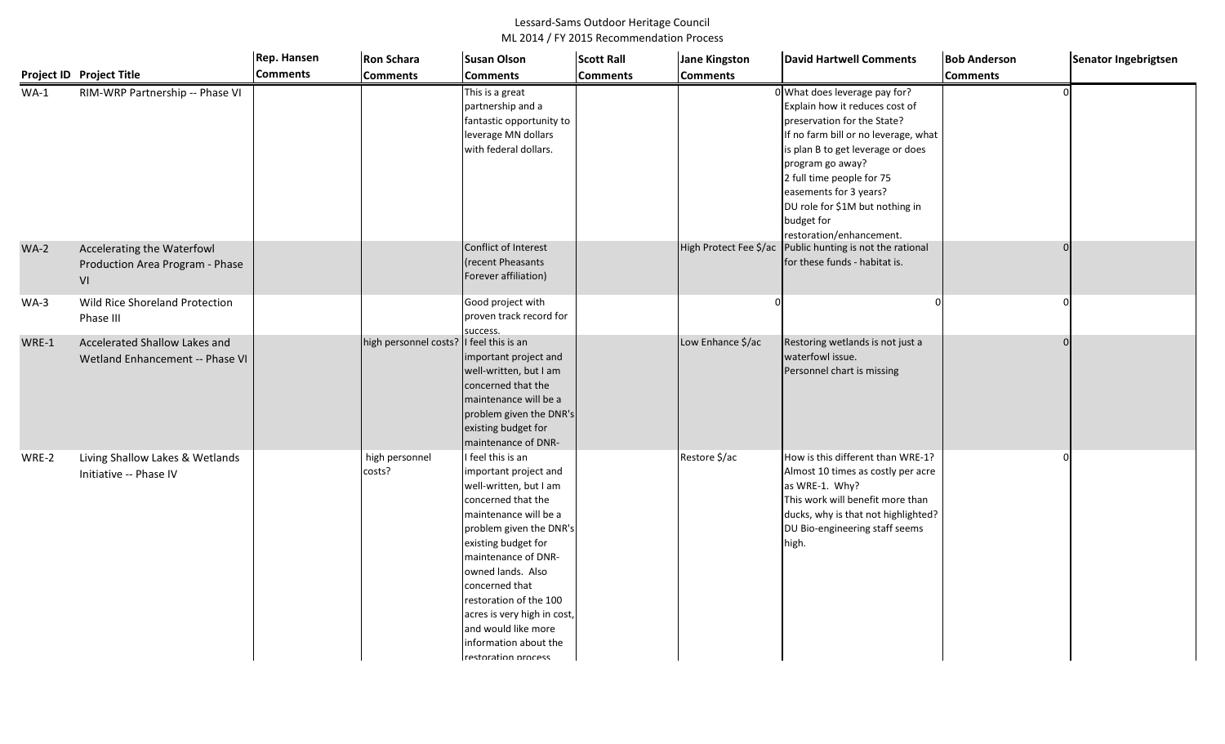|        |                                                                     | Rep. Hansen     | <b>Ron Schara</b>        | <b>Susan Olson</b>                                                                                                                                                                                                                                                                                                                                                  | <b>Scott Rall</b> | <b>Jane Kingston</b>   | <b>David Hartwell Comments</b>                                                                                                                                                                                                                                                                                                     | <b>Bob Anderson</b> | Senator Ingebrigtsen |
|--------|---------------------------------------------------------------------|-----------------|--------------------------|---------------------------------------------------------------------------------------------------------------------------------------------------------------------------------------------------------------------------------------------------------------------------------------------------------------------------------------------------------------------|-------------------|------------------------|------------------------------------------------------------------------------------------------------------------------------------------------------------------------------------------------------------------------------------------------------------------------------------------------------------------------------------|---------------------|----------------------|
|        | Project ID Project Title                                            | <b>Comments</b> | <b>Comments</b>          | <b>Comments</b>                                                                                                                                                                                                                                                                                                                                                     | <b>Comments</b>   | <b>Comments</b>        |                                                                                                                                                                                                                                                                                                                                    | <b>Comments</b>     |                      |
| $WA-1$ | RIM-WRP Partnership -- Phase VI                                     |                 |                          | This is a great<br>partnership and a<br>fantastic opportunity to<br>leverage MN dollars<br>with federal dollars.                                                                                                                                                                                                                                                    |                   |                        | 0 What does leverage pay for?<br>Explain how it reduces cost of<br>preservation for the State?<br>f no farm bill or no leverage, what<br>is plan B to get leverage or does<br>program go away?<br>2 full time people for 75<br>easements for 3 years?<br>DU role for \$1M but nothing in<br>budget for<br>restoration/enhancement. |                     |                      |
| $WA-2$ | Accelerating the Waterfowl<br>Production Area Program - Phase<br>VI |                 |                          | Conflict of Interest<br>recent Pheasants<br>Forever affiliation)                                                                                                                                                                                                                                                                                                    |                   | High Protect Fee \$/ac | Public hunting is not the rational<br>for these funds - habitat is.                                                                                                                                                                                                                                                                |                     |                      |
| $WA-3$ | Wild Rice Shoreland Protection<br>Phase III                         |                 |                          | Good project with<br>proven track record for<br>success.                                                                                                                                                                                                                                                                                                            |                   |                        |                                                                                                                                                                                                                                                                                                                                    |                     |                      |
| WRE-1  | Accelerated Shallow Lakes and<br>Wetland Enhancement -- Phase VI    |                 | high personnel costs?    | I feel this is an<br>important project and<br>well-written, but I am<br>concerned that the<br>maintenance will be a<br>problem given the DNR's<br>existing budget for<br>maintenance of DNR-                                                                                                                                                                        |                   | Low Enhance \$/ac      | Restoring wetlands is not just a<br>waterfowl issue.<br>Personnel chart is missing                                                                                                                                                                                                                                                 |                     |                      |
| WRE-2  | Living Shallow Lakes & Wetlands<br>Initiative -- Phase IV           |                 | high personnel<br>costs? | I feel this is an<br>important project and<br>well-written, but I am<br>concerned that the<br>maintenance will be a<br>problem given the DNR's<br>existing budget for<br>maintenance of DNR-<br>owned lands. Also<br>concerned that<br>restoration of the 100<br>acres is very high in cost,<br>and would like more<br>information about the<br>restoration process |                   | Restore \$/ac          | How is this different than WRE-1?<br>Almost 10 times as costly per acre<br>as WRE-1. Why?<br>This work will benefit more than<br>ducks, why is that not highlighted?<br>DU Bio-engineering staff seems<br>high.                                                                                                                    |                     |                      |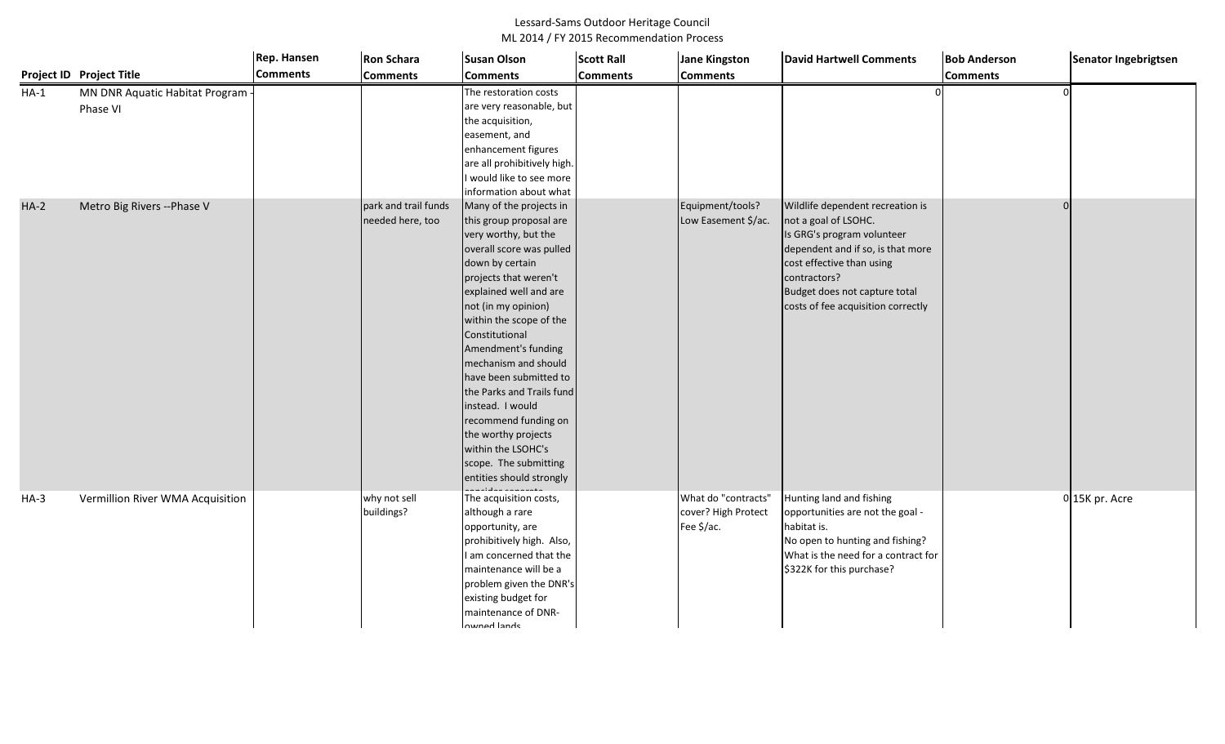|        |                                            | <b>Rep. Hansen</b> | <b>Ron Schara</b>                        | <b>Susan Olson</b>                                                                                                                                                                                                                                                                                                                                                                                                                                                                                   | <b>Scott Rall</b> | <b>Jane Kingston</b>                                     | <b>David Hartwell Comments</b>                                                                                                                                                                                                                  | <b>Bob Anderson</b> | Senator Ingebrigtsen |
|--------|--------------------------------------------|--------------------|------------------------------------------|------------------------------------------------------------------------------------------------------------------------------------------------------------------------------------------------------------------------------------------------------------------------------------------------------------------------------------------------------------------------------------------------------------------------------------------------------------------------------------------------------|-------------------|----------------------------------------------------------|-------------------------------------------------------------------------------------------------------------------------------------------------------------------------------------------------------------------------------------------------|---------------------|----------------------|
|        | Project ID Project Title                   | <b>Comments</b>    | <b>Comments</b>                          | <b>Comments</b>                                                                                                                                                                                                                                                                                                                                                                                                                                                                                      | <b>Comments</b>   | <b>Comments</b>                                          |                                                                                                                                                                                                                                                 | <b>Comments</b>     |                      |
| $HA-1$ | MN DNR Aquatic Habitat Program<br>Phase VI |                    |                                          | The restoration costs<br>are very reasonable, but<br>the acquisition,<br>easement, and<br>enhancement figures<br>are all prohibitively high<br>would like to see more<br>information about what                                                                                                                                                                                                                                                                                                      |                   |                                                          |                                                                                                                                                                                                                                                 |                     |                      |
| $HA-2$ | Metro Big Rivers -- Phase V                |                    | park and trail funds<br>needed here, too | Many of the projects in<br>this group proposal are<br>very worthy, but the<br>overall score was pulled<br>down by certain<br>projects that weren't<br>explained well and are<br>not (in my opinion)<br>within the scope of the<br>Constitutional<br>Amendment's funding<br>mechanism and should<br>have been submitted to<br>the Parks and Trails fund<br>instead. I would<br>recommend funding on<br>the worthy projects<br>within the LSOHC's<br>scope. The submitting<br>entities should strongly |                   | Equipment/tools?<br>Low Easement \$/ac.                  | Wildlife dependent recreation is<br>not a goal of LSOHC.<br>Is GRG's program volunteer<br>dependent and if so, is that more<br>cost effective than using<br>contractors?<br>Budget does not capture total<br>costs of fee acquisition correctly |                     |                      |
| $HA-3$ | Vermillion River WMA Acquisition           |                    | why not sell<br>buildings?               | The acquisition costs,<br>although a rare<br>opportunity, are<br>prohibitively high. Also,<br>am concerned that the<br>maintenance will be a<br>problem given the DNR's<br>existing budget for<br>maintenance of DNR-<br>awnad lande                                                                                                                                                                                                                                                                 |                   | What do "contracts"<br>cover? High Protect<br>Fee \$/ac. | Hunting land and fishing<br>opportunities are not the goal -<br>habitat is.<br>No open to hunting and fishing?<br>What is the need for a contract for<br>\$322K for this purchase?                                                              |                     | 0 15K pr. Acre       |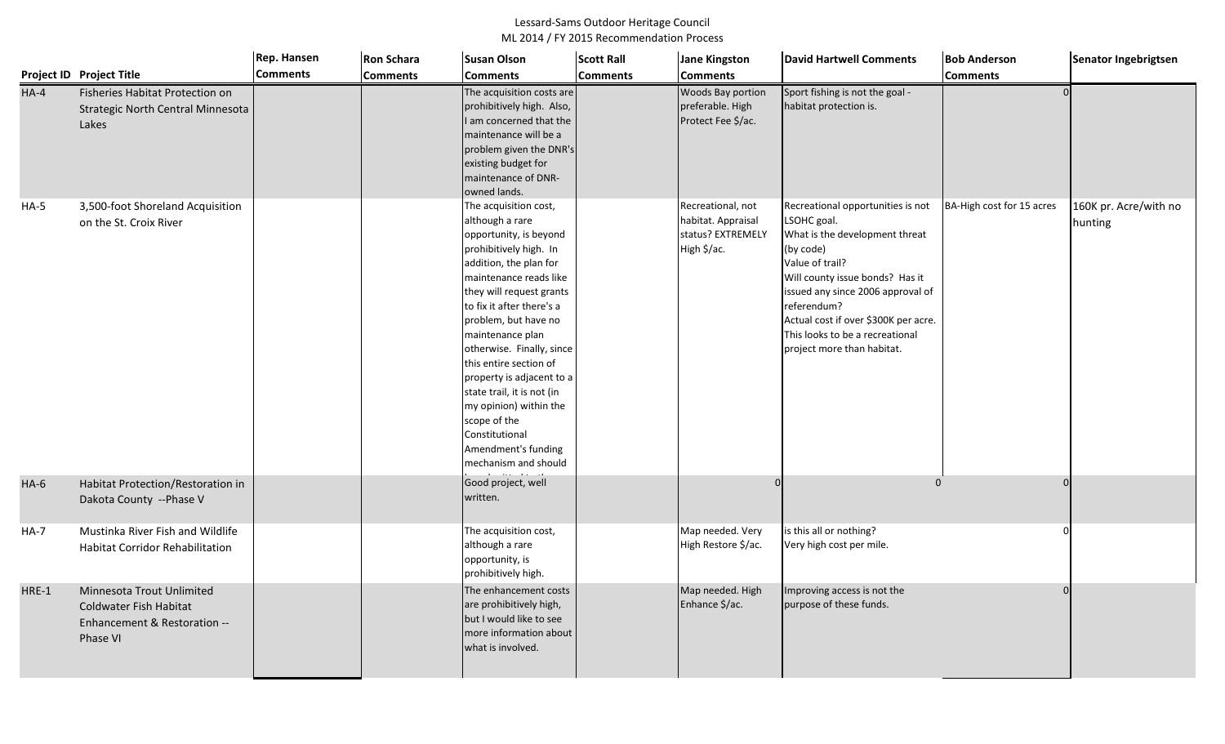|         |                                                                                                        | Rep. Hansen     | <b>Ron Schara</b> | <b>Susan Olson</b>                                                                                                                                                                                                                                                                                                                                                                                                                                                                 | <b>Scott Rall</b> | <b>Jane Kingston</b>                                                        | <b>David Hartwell Comments</b>                                                                                                                                                                                                                                                                                     | <b>Bob Anderson</b>       | Senator Ingebrigtsen             |
|---------|--------------------------------------------------------------------------------------------------------|-----------------|-------------------|------------------------------------------------------------------------------------------------------------------------------------------------------------------------------------------------------------------------------------------------------------------------------------------------------------------------------------------------------------------------------------------------------------------------------------------------------------------------------------|-------------------|-----------------------------------------------------------------------------|--------------------------------------------------------------------------------------------------------------------------------------------------------------------------------------------------------------------------------------------------------------------------------------------------------------------|---------------------------|----------------------------------|
|         | <b>Project ID Project Title</b>                                                                        | <b>Comments</b> | <b>Comments</b>   | <b>Comments</b>                                                                                                                                                                                                                                                                                                                                                                                                                                                                    | <b>Comments</b>   | <b>Comments</b>                                                             |                                                                                                                                                                                                                                                                                                                    | <b>Comments</b>           |                                  |
| $HA-4$  | Fisheries Habitat Protection on<br>Strategic North Central Minnesota<br>Lakes                          |                 |                   | The acquisition costs are<br>prohibitively high. Also,<br>I am concerned that the<br>maintenance will be a<br>problem given the DNR's<br>existing budget for<br>maintenance of DNR-<br>owned lands.                                                                                                                                                                                                                                                                                |                   | Woods Bay portion<br>preferable. High<br>Protect Fee \$/ac.                 | Sport fishing is not the goal -<br>habitat protection is.                                                                                                                                                                                                                                                          |                           |                                  |
| $HA-5$  | 3,500-foot Shoreland Acquisition<br>on the St. Croix River                                             |                 |                   | The acquisition cost,<br>although a rare<br>opportunity, is beyond<br>prohibitively high. In<br>addition, the plan for<br>maintenance reads like<br>they will request grants<br>to fix it after there's a<br>problem, but have no<br>maintenance plan<br>otherwise. Finally, since<br>this entire section of<br>property is adjacent to a<br>state trail, it is not (in<br>my opinion) within the<br>scope of the<br>Constitutional<br>Amendment's funding<br>mechanism and should |                   | Recreational, not<br>habitat. Appraisal<br>status? EXTREMELY<br>High \$/ac. | Recreational opportunities is not<br>LSOHC goal.<br>What is the development threat<br>(by code)<br>Value of trail?<br>Will county issue bonds? Has it<br>issued any since 2006 approval of<br>referendum?<br>Actual cost if over \$300K per acre.<br>This looks to be a recreational<br>project more than habitat. | BA-High cost for 15 acres | 160K pr. Acre/with no<br>hunting |
| $HA-6$  | Habitat Protection/Restoration in<br>Dakota County -- Phase V                                          |                 |                   | Good project, well<br>written.                                                                                                                                                                                                                                                                                                                                                                                                                                                     |                   |                                                                             | $\Omega$                                                                                                                                                                                                                                                                                                           |                           |                                  |
| $HA-7$  | Mustinka River Fish and Wildlife<br><b>Habitat Corridor Rehabilitation</b>                             |                 |                   | The acquisition cost,<br>although a rare<br>opportunity, is<br>prohibitively high.                                                                                                                                                                                                                                                                                                                                                                                                 |                   | Map needed. Very<br>High Restore \$/ac.                                     | is this all or nothing?<br>Very high cost per mile.                                                                                                                                                                                                                                                                |                           |                                  |
| $HRE-1$ | Minnesota Trout Unlimited<br><b>Coldwater Fish Habitat</b><br>Enhancement & Restoration --<br>Phase VI |                 |                   | The enhancement costs<br>are prohibitively high,<br>but I would like to see<br>more information about<br>what is involved.                                                                                                                                                                                                                                                                                                                                                         |                   | Map needed. High<br>Enhance \$/ac.                                          | Improving access is not the<br>purpose of these funds.                                                                                                                                                                                                                                                             |                           |                                  |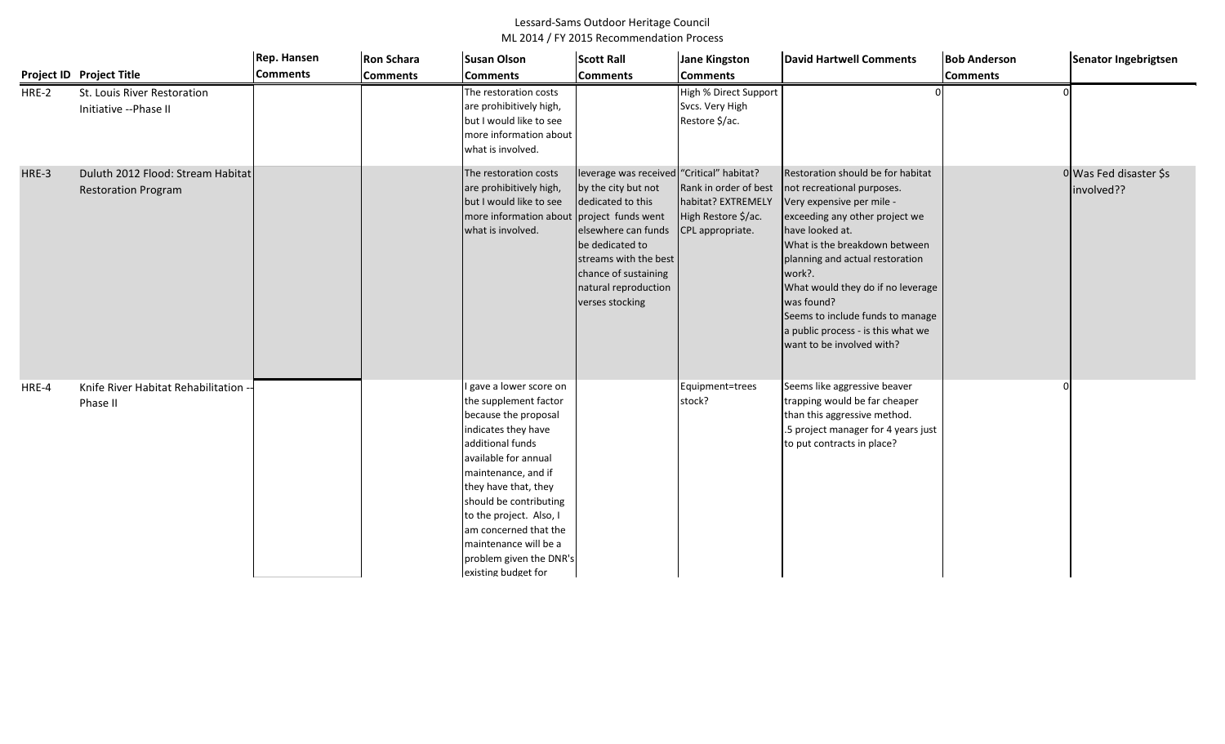|       |                                                                 | Rep. Hansen     | <b>Ron Schara</b> | <b>Susan Olson</b>                                                                                                                                                                                                                                                                                                                                  | <b>Scott Rall</b>                                                                                                                                                                                                                                 | <b>Jane Kingston</b>                                                                   | <b>David Hartwell Comments</b>                                                                                                                                                                                                                                                                                                                                                            | <b>Bob Anderson</b> | Senator Ingebrigtsen                 |
|-------|-----------------------------------------------------------------|-----------------|-------------------|-----------------------------------------------------------------------------------------------------------------------------------------------------------------------------------------------------------------------------------------------------------------------------------------------------------------------------------------------------|---------------------------------------------------------------------------------------------------------------------------------------------------------------------------------------------------------------------------------------------------|----------------------------------------------------------------------------------------|-------------------------------------------------------------------------------------------------------------------------------------------------------------------------------------------------------------------------------------------------------------------------------------------------------------------------------------------------------------------------------------------|---------------------|--------------------------------------|
|       | <b>Project ID Project Title</b>                                 | <b>Comments</b> | <b>Comments</b>   | <b>Comments</b>                                                                                                                                                                                                                                                                                                                                     | <b>Comments</b>                                                                                                                                                                                                                                   | <b>Comments</b>                                                                        |                                                                                                                                                                                                                                                                                                                                                                                           | <b>Comments</b>     |                                      |
| HRE-2 | St. Louis River Restoration<br>Initiative -- Phase II           |                 |                   | The restoration costs<br>are prohibitively high,<br>but I would like to see<br>more information about<br>what is involved.                                                                                                                                                                                                                          |                                                                                                                                                                                                                                                   | High % Direct Support<br>Svcs. Very High<br>Restore \$/ac.                             |                                                                                                                                                                                                                                                                                                                                                                                           |                     |                                      |
| HRE-3 | Duluth 2012 Flood: Stream Habitat<br><b>Restoration Program</b> |                 |                   | The restoration costs<br>are prohibitively high,<br>but I would like to see<br>more information about<br>what is involved.                                                                                                                                                                                                                          | leverage was received "Critical" habitat?<br>by the city but not<br>dedicated to this<br>project funds went<br>elsewhere can funds<br>be dedicated to<br>streams with the best<br>chance of sustaining<br>natural reproduction<br>verses stocking | Rank in order of best<br>habitat? EXTREMELY<br>High Restore \$/ac.<br>CPL appropriate. | Restoration should be for habitat<br>not recreational purposes.<br>Very expensive per mile -<br>exceeding any other project we<br>have looked at.<br>What is the breakdown between<br>planning and actual restoration<br>work?.<br>What would they do if no leverage<br>was found?<br>Seems to include funds to manage<br>a public process - is this what we<br>want to be involved with? |                     | 0 Was Fed disaster \$s<br>involved?? |
| HRE-4 | Knife River Habitat Rehabilitation --<br>Phase II               |                 |                   | I gave a lower score on<br>the supplement factor<br>because the proposal<br>indicates they have<br>additional funds<br>available for annual<br>maintenance, and if<br>they have that, they<br>should be contributing<br>to the project. Also, I<br>am concerned that the<br>maintenance will be a<br>problem given the DNR's<br>existing budget for |                                                                                                                                                                                                                                                   | Equipment=trees<br>stock?                                                              | Seems like aggressive beaver<br>trapping would be far cheaper<br>than this aggressive method.<br>.5 project manager for 4 years just<br>to put contracts in place?                                                                                                                                                                                                                        |                     |                                      |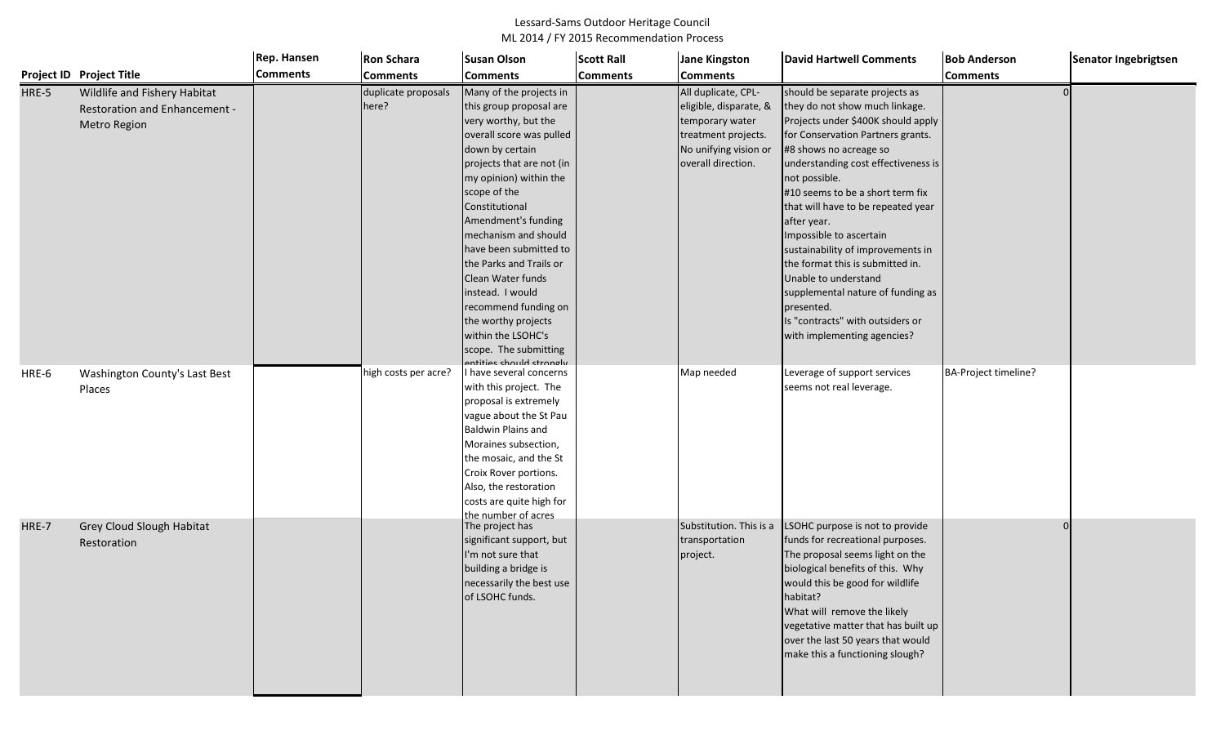|       |                                                                                                                       | Rep. Hansen     | <b>Ron Schara</b>                                    | <b>Susan Olson</b>                                                                                                                                                                                                                                                                                                                                                                                                                                                                                                 | <b>Scott Rall</b> | <b>Jane Kingston</b>                                                                                                                                 | <b>David Hartwell Comments</b>                                                                                                                                                                                                                                                                                                                                                                                                                                                                                                                                                                           | <b>Bob Anderson</b>  | Senator Ingebrigtsen |
|-------|-----------------------------------------------------------------------------------------------------------------------|-----------------|------------------------------------------------------|--------------------------------------------------------------------------------------------------------------------------------------------------------------------------------------------------------------------------------------------------------------------------------------------------------------------------------------------------------------------------------------------------------------------------------------------------------------------------------------------------------------------|-------------------|------------------------------------------------------------------------------------------------------------------------------------------------------|----------------------------------------------------------------------------------------------------------------------------------------------------------------------------------------------------------------------------------------------------------------------------------------------------------------------------------------------------------------------------------------------------------------------------------------------------------------------------------------------------------------------------------------------------------------------------------------------------------|----------------------|----------------------|
|       | Project ID Project Title                                                                                              | <b>Comments</b> | <b>Comments</b>                                      | <b>Comments</b>                                                                                                                                                                                                                                                                                                                                                                                                                                                                                                    | <b>Comments</b>   | <b>Comments</b>                                                                                                                                      |                                                                                                                                                                                                                                                                                                                                                                                                                                                                                                                                                                                                          | <b>Comments</b>      |                      |
| HRE-5 | Wildlife and Fishery Habitat<br><b>Restoration and Enhancement -</b><br>Metro Region<br>Washington County's Last Best |                 | duplicate proposals<br>here?<br>high costs per acre? | Many of the projects in<br>this group proposal are<br>very worthy, but the<br>overall score was pulled<br>down by certain<br>projects that are not (in<br>my opinion) within the<br>scope of the<br>Constitutional<br>Amendment's funding<br>mechanism and should<br>have been submitted to<br>the Parks and Trails or<br>Clean Water funds<br>instead. I would<br>recommend funding on<br>the worthy projects<br>within the LSOHC's<br>scope. The submitting<br>antitiac chould ctrongly<br>have several concerns |                   | All duplicate, CPL-<br>eligible, disparate, &<br>temporary water<br>treatment projects.<br>No unifying vision or<br>overall direction.<br>Map needed | should be separate projects as<br>they do not show much linkage.<br>Projects under \$400K should apply<br>for Conservation Partners grants.<br>#8 shows no acreage so<br>understanding cost effectiveness is<br>not possible.<br>#10 seems to be a short term fix<br>that will have to be repeated year<br>after year.<br>Impossible to ascertain<br>sustainability of improvements in<br>the format this is submitted in.<br>Unable to understand<br>supplemental nature of funding as<br>presented.<br>Is "contracts" with outsiders or<br>with implementing agencies?<br>Leverage of support services | BA-Project timeline? |                      |
| HRE-6 | Places                                                                                                                |                 |                                                      | with this project. The<br>proposal is extremely<br>vague about the St Pau<br><b>Baldwin Plains and</b><br>Moraines subsection,<br>the mosaic, and the St<br>Croix Rover portions.<br>Also, the restoration<br>costs are quite high for<br>the numher of acres                                                                                                                                                                                                                                                      |                   |                                                                                                                                                      | seems not real leverage.                                                                                                                                                                                                                                                                                                                                                                                                                                                                                                                                                                                 |                      |                      |
| HRE-7 | Grey Cloud Slough Habitat<br>Restoration                                                                              |                 |                                                      | The project has<br>significant support, but<br>I'm not sure that<br>building a bridge is<br>necessarily the best use<br>of LSOHC funds.                                                                                                                                                                                                                                                                                                                                                                            |                   | Substitution. This is a<br>transportation<br>project.                                                                                                | LSOHC purpose is not to provide<br>funds for recreational purposes.<br>The proposal seems light on the<br>biological benefits of this. Why<br>would this be good for wildlife<br>habitat?<br>What will remove the likely<br>vegetative matter that has built up<br>over the last 50 years that would<br>make this a functioning slough?                                                                                                                                                                                                                                                                  |                      |                      |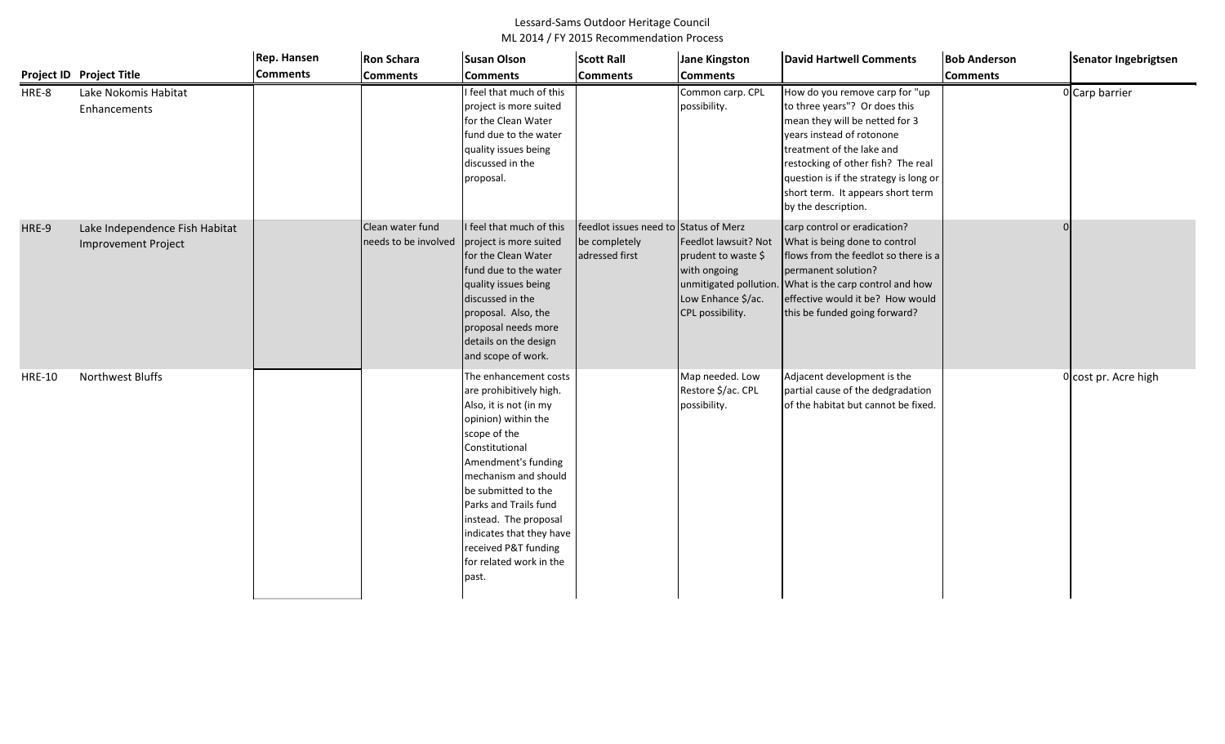|               |                                                              | <b>Rep. Hansen</b> | <b>Ron Schara</b>                                               | <b>Susan Olson</b>                                                                                                                                                                                                                                                                                                                                  | <b>Scott Rall</b>                                                        | <b>Jane Kingston</b>                                                                                                            | <b>David Hartwell Comments</b>                                                                                                                                                                                                                                                                          | <b>Bob Anderson</b> | Senator Ingebrigtsen |
|---------------|--------------------------------------------------------------|--------------------|-----------------------------------------------------------------|-----------------------------------------------------------------------------------------------------------------------------------------------------------------------------------------------------------------------------------------------------------------------------------------------------------------------------------------------------|--------------------------------------------------------------------------|---------------------------------------------------------------------------------------------------------------------------------|---------------------------------------------------------------------------------------------------------------------------------------------------------------------------------------------------------------------------------------------------------------------------------------------------------|---------------------|----------------------|
|               | Project ID Project Title                                     | <b>Comments</b>    | <b>Comments</b>                                                 | <b>Comments</b>                                                                                                                                                                                                                                                                                                                                     | <b>Comments</b>                                                          | <b>Comments</b>                                                                                                                 |                                                                                                                                                                                                                                                                                                         | <b>Comments</b>     |                      |
| HRE-8         | Lake Nokomis Habitat<br>Enhancements                         |                    |                                                                 | I feel that much of this<br>project is more suited<br>for the Clean Water<br>fund due to the water<br>quality issues being<br>discussed in the<br>proposal.                                                                                                                                                                                         |                                                                          | Common carp. CPL<br>possibility.                                                                                                | How do you remove carp for "up<br>to three years"? Or does this<br>mean they will be netted for 3<br>years instead of rotonone<br>treatment of the lake and<br>restocking of other fish? The real<br>question is if the strategy is long or<br>short term. It appears short term<br>by the description. |                     | 0 Carp barrier       |
| HRE-9         | Lake Independence Fish Habitat<br><b>Improvement Project</b> |                    | Clean water fund<br>needs to be involved project is more suited | I feel that much of this<br>for the Clean Water<br>fund due to the water<br>quality issues being<br>discussed in the<br>proposal. Also, the<br>proposal needs more<br>details on the design<br>and scope of work.                                                                                                                                   | feedlot issues need to Status of Merz<br>be completely<br>adressed first | Feedlot lawsuit? Not<br>prudent to waste \$<br>with ongoing<br>unmitigated pollution.<br>Low Enhance \$/ac.<br>CPL possibility. | carp control or eradication?<br>What is being done to control<br>flows from the feedlot so there is a<br>permanent solution?<br>What is the carp control and how<br>effective would it be? How would<br>this be funded going forward?                                                                   |                     |                      |
| <b>HRE-10</b> | Northwest Bluffs                                             |                    |                                                                 | The enhancement costs<br>are prohibitively high.<br>Also, it is not (in my<br>opinion) within the<br>scope of the<br>Constitutional<br>Amendment's funding<br>mechanism and should<br>be submitted to the<br>Parks and Trails fund<br>instead. The proposal<br>indicates that they have<br>received P&T funding<br>for related work in the<br>past. |                                                                          | Map needed. Low<br>Restore \$/ac. CPL<br>possibility.                                                                           | Adjacent development is the<br>partial cause of the dedgradation<br>of the habitat but cannot be fixed.                                                                                                                                                                                                 |                     | 0 cost pr. Acre high |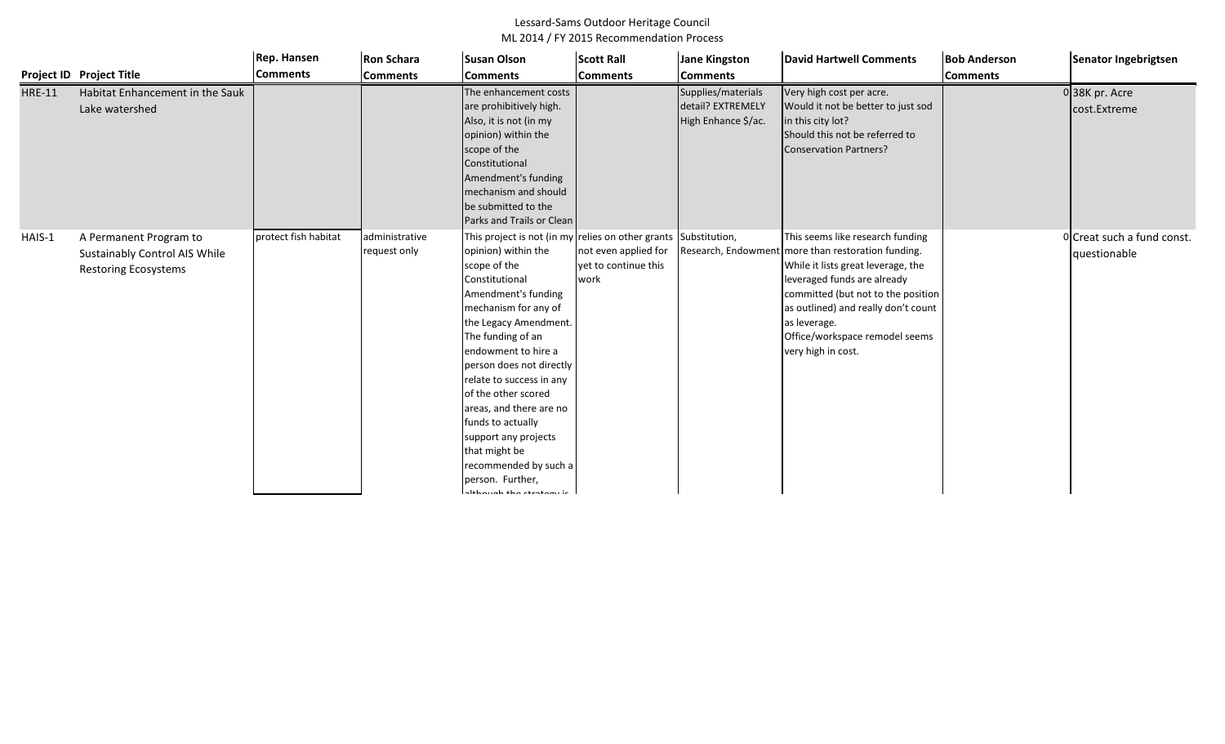|               |                                                                                        | Rep. Hansen          | <b>Ron Schara</b>              | <b>Susan Olson</b>                                                                                                                                                                                                                                                                                                                                                                                                                                                                                             | <b>Scott Rall</b>                                    | <b>Jane Kingston</b>                                           | <b>David Hartwell Comments</b>                                                                                                                                                                                                                                                              | <b>Bob Anderson</b> | Senator Ingebrigtsen                       |
|---------------|----------------------------------------------------------------------------------------|----------------------|--------------------------------|----------------------------------------------------------------------------------------------------------------------------------------------------------------------------------------------------------------------------------------------------------------------------------------------------------------------------------------------------------------------------------------------------------------------------------------------------------------------------------------------------------------|------------------------------------------------------|----------------------------------------------------------------|---------------------------------------------------------------------------------------------------------------------------------------------------------------------------------------------------------------------------------------------------------------------------------------------|---------------------|--------------------------------------------|
|               | <b>Project ID Project Title</b>                                                        | <b>Comments</b>      | <b>Comments</b>                | <b>Comments</b>                                                                                                                                                                                                                                                                                                                                                                                                                                                                                                | <b>Comments</b>                                      | <b>Comments</b>                                                |                                                                                                                                                                                                                                                                                             | <b>Comments</b>     |                                            |
| <b>HRE-11</b> | Habitat Enhancement in the Sauk<br>Lake watershed                                      |                      |                                | The enhancement costs<br>are prohibitively high.<br>Also, it is not (in my<br>opinion) within the<br>scope of the<br>Constitutional<br>Amendment's funding<br>mechanism and should<br>be submitted to the<br>Parks and Trails or Clean                                                                                                                                                                                                                                                                         |                                                      | Supplies/materials<br>detail? EXTREMELY<br>High Enhance \$/ac. | Very high cost per acre.<br>Would it not be better to just sod<br>in this city lot?<br>Should this not be referred to<br>Conservation Partners?                                                                                                                                             |                     | 038K pr. Acre<br>cost.Extreme              |
| HAIS-1        | A Permanent Program to<br>Sustainably Control AIS While<br><b>Restoring Ecosystems</b> | protect fish habitat | administrative<br>request only | This project is not (in my relies on other grants Substitution,<br>opinion) within the<br>scope of the<br>Constitutional<br>Amendment's funding<br>mechanism for any of<br>the Legacy Amendment<br>The funding of an<br>endowment to hire a<br>person does not directly<br>relate to success in any<br>of the other scored<br>areas, and there are no<br>funds to actually<br>support any projects<br>that might be<br>recommended by such a<br>person. Further,<br>$\lambda$ lika $\lambda$ alika akaataan is | not even applied for<br>yet to continue this<br>work | Research, Endowment                                            | This seems like research funding<br>more than restoration funding.<br>While it lists great leverage, the<br>everaged funds are already<br>committed (but not to the position<br>as outlined) and really don't count<br>as leverage.<br>Office/workspace remodel seems<br>very high in cost. |                     | 0 Creat such a fund const.<br>questionable |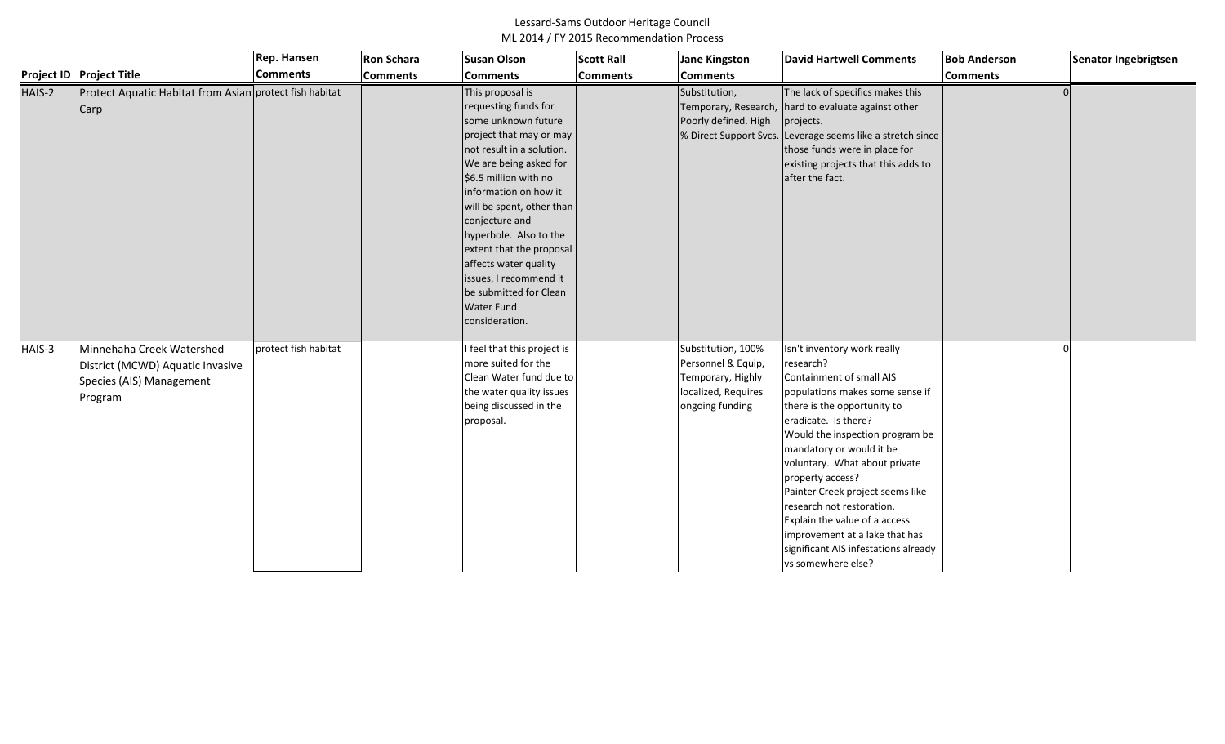|        |                                                                                                      | Rep. Hansen          | <b>Ron Schara</b> | <b>Susan Olson</b>                                                                                                                                                                                                                                                                                                                                                                                                           | <b>Scott Rall</b> | <b>Jane Kingston</b>                                                                                    | <b>David Hartwell Comments</b>                                                                                                                                                                                                                                                                                                                                                                                                                                                       | <b>Bob Anderson</b> | Senator Ingebrigtsen |
|--------|------------------------------------------------------------------------------------------------------|----------------------|-------------------|------------------------------------------------------------------------------------------------------------------------------------------------------------------------------------------------------------------------------------------------------------------------------------------------------------------------------------------------------------------------------------------------------------------------------|-------------------|---------------------------------------------------------------------------------------------------------|--------------------------------------------------------------------------------------------------------------------------------------------------------------------------------------------------------------------------------------------------------------------------------------------------------------------------------------------------------------------------------------------------------------------------------------------------------------------------------------|---------------------|----------------------|
|        | Project ID Project Title                                                                             | <b>Comments</b>      | <b>Comments</b>   | <b>Comments</b>                                                                                                                                                                                                                                                                                                                                                                                                              | <b>Comments</b>   | <b>Comments</b>                                                                                         |                                                                                                                                                                                                                                                                                                                                                                                                                                                                                      | <b>Comments</b>     |                      |
| HAIS-2 | Protect Aquatic Habitat from Asian protect fish habitat<br>Carp                                      |                      |                   | This proposal is<br>requesting funds for<br>some unknown future<br>project that may or may<br>not result in a solution.<br>We are being asked for<br>\$6.5 million with no<br>information on how it<br>will be spent, other than<br>conjecture and<br>hyperbole. Also to the<br>extent that the proposal<br>affects water quality<br>issues, I recommend it<br>be submitted for Clean<br><b>Water Fund</b><br>consideration. |                   | Substitution,<br>Temporary, Research,<br>Poorly defined. High                                           | The lack of specifics makes this<br>hard to evaluate against other<br>projects.<br>% Direct Support Svcs. Leverage seems like a stretch since<br>those funds were in place for<br>existing projects that this adds to<br>after the fact.                                                                                                                                                                                                                                             |                     |                      |
| HAIS-3 | Minnehaha Creek Watershed<br>District (MCWD) Aquatic Invasive<br>Species (AIS) Management<br>Program | protect fish habitat |                   | feel that this project is<br>more suited for the<br>Clean Water fund due to<br>the water quality issues<br>being discussed in the<br>proposal.                                                                                                                                                                                                                                                                               |                   | Substitution, 100%<br>Personnel & Equip,<br>Temporary, Highly<br>localized, Requires<br>ongoing funding | Isn't inventory work really<br>research?<br>Containment of small AIS<br>populations makes some sense if<br>there is the opportunity to<br>eradicate. Is there?<br>Would the inspection program be<br>mandatory or would it be<br>voluntary. What about private<br>property access?<br>Painter Creek project seems like<br>research not restoration.<br>Explain the value of a access<br>improvement at a lake that has<br>significant AIS infestations already<br>vs somewhere else? |                     |                      |